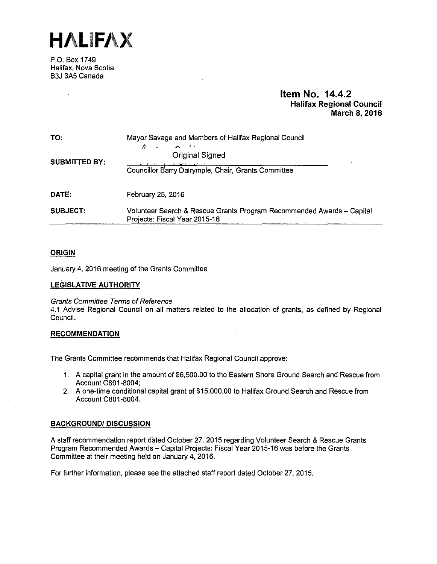

P.O. Box 1749 Halifax, Nova Scotia B3J 3A5 Canada

 $\mathcal{L}_{\mathcal{A}}$ 

# **Item No. 14.4.2 Halifax Regional Council March 8, 2016**

| TO:                  | Mayor Savage and Members of Halifax Regional Council<br>$\Lambda$<br>$\wedge$ $\wedge$                 |
|----------------------|--------------------------------------------------------------------------------------------------------|
| <b>SUBMITTED BY:</b> | <b>Original Signed</b>                                                                                 |
|                      | Councillor Barry Dalrymple, Chair, Grants Committee                                                    |
| DATE:                | February 25, 2016                                                                                      |
| <b>SUBJECT:</b>      | Volunteer Search & Rescue Grants Program Recommended Awards - Capital<br>Projects: Fiscal Year 2015-16 |

# **ORIGIN**

January 4, 2016 meeting of the Grants Committee

# **LEGISLATIVE AUTHORITY**

## Grants Committee Terms of Reference

4.1 Advise Regional Council on all matters related to the allocation of grants, as defined by Regional Council.

## **RECOMMENDATION**

The Grants Committee recommends that Halifax Regional Council approve:

- 1. A capital grant in the amount of \$6,500.00 to the Eastern Shore Ground Search and Rescue from Account C801-8004;
- 2. A one-time conditional capital grant of \$15,000.00 to Halifax Ground Search and Rescue from Account C801-8004.

# **BACKGROUND/ DISCUSSION**

A staff recommendation report dated October 27, 2015 regarding Volunteer Search & Rescue Grants Program Recommended Awards - Capital Projects: Fiscal Year 2015-16 was before the Grants Committee at their meeting held on January 4, 2016.

For further information, please see the attached staff report dated October 27, 2015.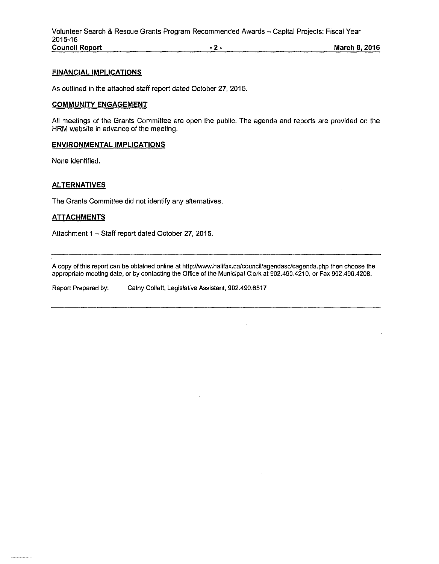## **FINANCIAL IMPLICATIONS**

As outlined in the attached staff report dated October 27, 2015.

## **COMMUNITY ENGAGEMENT**

All meetings of the Grants Committee are open the public. The agenda and reports are provided on the HRM website in advance of the meeting.

#### **ENVIRONMENTAL IMPLICATIONS**

None identified.

## **ALTERNATIVES**

The Grants Committee did not identify any alternatives.

### **ATTACHMENTS**

Attachment 1 - Staff report dated October 27, 2015.

A copy of this report can be obtained online at http://www.halifax.ca/cóuncil/agendasc/cagenda.php then choose the appropriate meeting date, or by contacting the Office of the Municipal Clerk at 902.490.4210, or Fax 902.490.4208.

Report Prepared by: Cathy Collett, Legislative Assistant, 902.490.6517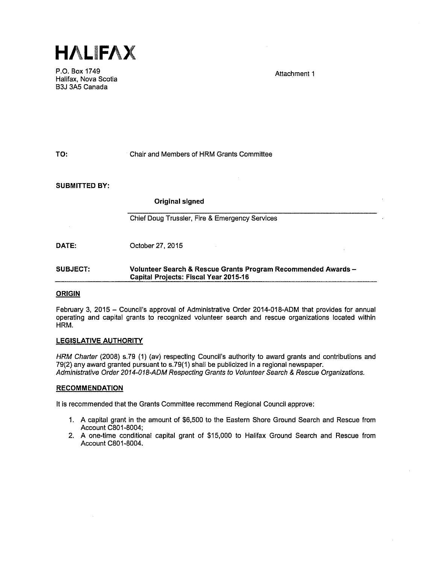

P.O. Box 1749 Halifax, Nova Scotia B3J 3A5 Canada

Attachment 1

Chair and Members of HRM Grants Committee

**SUBMITTED BY:** 

**TO:** 

**Original signed** 

Chief Doug Trussler, Fire & Emergency Services

**DATE:**  October 27, 2015

**SUBJECT: Volunteer Search & Rescue Grants Program Recommended Awards** - **Capital Projects: Fiscal Year 2015-16** 

#### **ORIGIN**

February 3, 2015 - Council's approval of Administrative Order 2014-018-ADM that provides for annual operating and capital grants to recognized volunteer search and rescue organizations located within HRM.

#### **LEGISLATIVE AUTHORITY**

HRM Charter (2008) s.79 **(1)** (av) respecting Council's authority to award grants and contributions and 79(2) any award granted pursuant to s.79(1) shall be publicized in a regional newspaper. Administrative Order 2014-018-ADM Respecting Grants to Volunteer Search & Rescue Organizations.

#### **RECOMMENDATION**

It is recommended that the Grants Committee recommend Regional Council approve:

- 1. A capital grant in the amount of \$6,500 to the Eastern Shore Ground Search and Rescue from Account C801-8004;
- 2. A one-time conditional capital grant of \$15,000 to Halifax Ground Search and Rescue from Account C801-8004.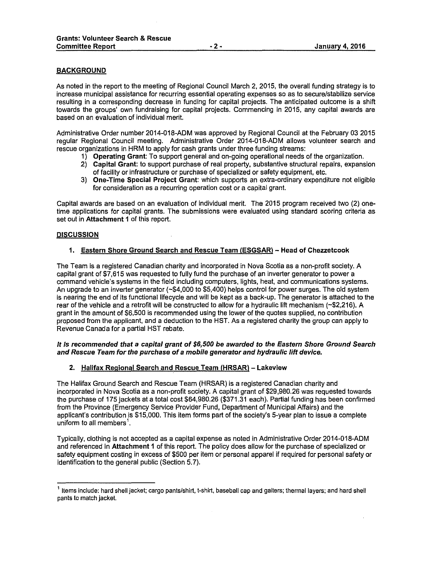### **BACKGROUND**

As noted in the report to the meeting of Regional Council March 2, 2015, the overall funding strategy is to increase municipal assistance for recurring essential operating expenses so as to secure/stabilize service resulting in a corresponding decrease in funding for capital projects. The anticipated outcome is a shift towards the groups' own fundraising for capital projects. Commencing in 2015, any capital awards are based on an evaluation of individual merit.

Administrative Order number 2014-018-ADM was approved by Regional Council at the February 03 2015 regular Regional Council meeting. Administrative Order 2014-018-ADM allows volunteer search and rescue organizations in HRM to apply for cash grants under three funding streams:

- **1) Operating Grant:** To support general and on-going operational needs of the organization.
- 2) **Capital Grant:** to support purchase of real property, substantive structural repairs, expansion of facility or infrastructure or purchase of specialized or safety equipment, etc.
- 3) **One-Time Special Project Grant:** which supports an extra-ordinary expenditure not eligible for consideration as a recurring operation cost or a capital grant.

Capital awards are based on an evaluation of individual merit. The 2015 program received two (2) onetime applications for capital grants. The submissions were evaluated using standard scoring criteria as set out in **Attachment 1** of this report.

#### **DISCUSSION**

#### **1. Eastern Shore Ground Search and Rescue Team !ESGSARl - Head of Chezzetcook**

The Team is a registered Canadian charity and incorporated in Nova Scotia as a non-profit society. A capital grant of \$7,615 was requested to fully fund the purchase of an inverter generator to power a command vehicle's systems in the field including computers, lights, heat, and communications systems. An upgrade to an inverter generator (~\$4,000 to \$5,400) helps control for power surges. The old system is nearing the end of its functional lifecycle and will be kept as a back-up. The generator is attached to the rear of the vehicle and a retrofit will be constructed to allow for a hydraulic lift mechanism (~\$2,216). A grant in the amount of \$6,500 is recommended using the lower of the quotes supplied, no contribution proposed from the applicant, and a deduction to the HST. As a registered charity the group can apply to Revenue Canada for a partial HST rebate.

#### **It is recommended that a capital grant of \$6,500 be awarded to the Eastern Shore Ground Search and Rescue Team for the purchase of a mobile generator and hydraulic lift device.**

#### **2. Halifax Regional Search and Rescue Team (HRSAR) - Lakeview**

The Halifax Ground Search and Rescue Team (HRSAR) is a registered Canadian charity and incorporated in Nova Scotia as a non-profit society. A capital grant of \$29 ,980.26 was requested towards the purchase of 175 jackets at a total cost \$64,980.26 (\$371.31 each). Partial funding has been confirmed from the Province (Emergency Service Provider Fund, Department of Municipal Affairs) and the applicant's contribution is \$15,000. This item forms part of the society's 5-year plan to issue a complete uniform to all members<sup>1</sup>.

Typically, clothing is not accepted as a capital expense as noted in Administrative Order 2014-018-ADM and referenced in **Attachment 1** of this report. The policy does allow for the purchase of specialized or safety equipment costing in excess of \$500 per item or personal apparel if required for personal safety or identification to the general public (Section 5. 7).

<sup>&</sup>lt;sup>1</sup> Items include: hard shell jacket; cargo pants/shirt, t-shirt, baseball cap and gaiters; thermal layers; and hard shell pants to match jacket.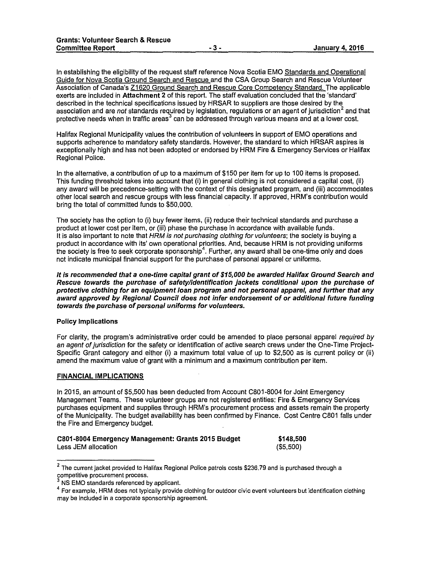In establishing the eligibility of the request staff reference Nova Scotia EMO Standards and Operational Guide for Nova Scotia Ground Search and Rescue and the CSA Group Search and Rescue Volunteer Association of Canada's Z1620 Ground Search and Rescue Core Competency Standard. The applicable exerts are included in Attachment 2 of this report. The staff evaluation concluded that the 'standard' described in the technical specifications issued by HRSAR to suppliers are those desired by the association and are not standards required by legislation, regulations or an agent of jurisdiction<sup>2</sup> and that protective needs when in traffic areas<sup>3</sup> can be addressed through various means and at a lower cost.

Halifax Regional Municipality values the contribution of volunteers in support of EMO operations and supports adherence to mandatory safety standards. However, the standard to which HRSAR aspires is exceptionally high and has not been adopted or endorsed by HRM Fire & Emergency Services or Halifax Regional Police.

In the alternative, a contribution of up to a maximum of \$150 per item for up to 100 items is proposed. This funding threshold takes into account that (i) in general clothing is not considered a capital cost, (ii) any award will be precedence-setting with the context of this designated program, and (iii) accommodates other local search and rescue groups with less financial capacity. If approved, HRM's contribution would bring the total of committed funds to \$50,000.

The society has the option to (i) buy fewer items, (ii) reduce their technical standards and purchase a product at lower cost per item, or (iii) phase the purchase in accordance with available funds. It is also important to note that HRM is not purchasing clothing for volunteers; the society is buying a product in accordance with its' own operational priorities. And, because HRM is not providing uniforms the society is free to seek corporate sponsorship'. Further, any award shall be one-time only and does not indicate municipal financial support for the purchase of personal apparel or unifonms.

It is recommended that a one-time capital grant of \$15,000 be awarded Halifax Ground Search and Rescue towards the purchase of safety/Identification jackets conditional upon the purchase of protective clothing for an equipment loan program and not personal apparel, and further that any award approved by Regional Council does not infer endorsement of or additional future funding towards the purchase of personal uniforms for volunteers.

#### Policy Implications

For clarity, the program's administrative order could be amended to place personal apparel required by an agent of jurisdiction for the safety or identification of active search crews under the One-Time Project-Specific Grant category and either (i) a maximum total value of up to \$2,500 as is current policy or (ii) amend the maximum value of grant with a minimum and a maximum contribution per item.

#### FINANCIAL IMPLICATIONS

In 2015, an amount of \$5,500 has been deducted from Account C801-8004 for Joint Emergency Management Teams. These volunteer groups are not registered entities: Fire & Emergency Services purchases equipment and supplies through HRM's procurement process and assets remain the property of the Municipality. The budget availability has been confirmed by Finance. Cost Centre C801 falls under the Fire and Emergency budget.

| C801-8004 Emergency Management: Grants 2015 Budget | \$148,500  |
|----------------------------------------------------|------------|
| Less JEM allocation                                | ( \$5,500) |

 $2$  The current jacket provided to Halifax Regional Police patrols costs \$236.79 and is purchased through a competitive procurement process.

**NS EMO standards referenced by applicant.** 

 $4$  For example, HRM does not typically provide clothing for outdoor civic event volunteers but identification clothing may be included in a corporate sponsorship agreement.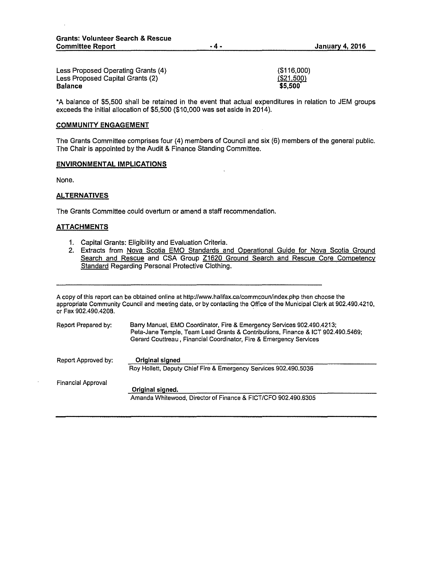| Less Proposed Operating Grants (4) | ( \$116.000) |
|------------------------------------|--------------|
| Less Proposed Capital Grants (2)   | ( \$21,500)  |
| Balance                            | \$5,500      |

•A balance of \$5,500 shall be retained in the event that actual expenditures in relation to JEM groups exceeds the initial allocation of \$5,500 (\$10,000 was set aside in 2014).

#### **COMMUNITY ENGAGEMENT**

The Grants Committee comprises four (4) members of Council and six (6) members of the general public. The Chair is appointed by the Audit & Finance Standing Committee.

#### **ENVIRONMENTAL IMPLICATIONS**

None.

#### **ALTERNATIVES**

The Grants Committee could overturn or amend a staff recommendation.

### **ATTACHMENTS**

- **1.** Capital Grants: Eligibility and Evaluation Criteria.
- 2. Extracts from Nova Scotia EMO Standards and Operational Guide for Nova Scotia Ground Search and Rescue and CSA Group Z1620 Ground Search and Rescue Core Competency Standard Regarding Personal Protective Clothing.

A copy of this report can be obtained online at http://www.halifax.ca/commcoun/index.php then choose the appropriate Community Council and meeting date, or by contacting the Office of the Municipal Clerk at 902.490.4210, or Fax 902.490.4208. ·

| Report Prepared by: | Barry Manuel, EMO Coordinator, Fire & Emergency Services 902.490.4213;<br>Peta-Jane Temple, Team Lead Grants & Contributions, Finance & ICT 902.490.5469;<br>Gerard Couttreau, Financial Coordinator, Fire & Emergency Services |
|---------------------|---------------------------------------------------------------------------------------------------------------------------------------------------------------------------------------------------------------------------------|
| Report Approved by: | Original signed                                                                                                                                                                                                                 |
|                     | Roy Hollett, Deputy Chief Fire & Emergency Services 902.490.5036                                                                                                                                                                |
| Financial Approval  |                                                                                                                                                                                                                                 |
|                     | Original signed.                                                                                                                                                                                                                |
|                     | Amanda Whitewood, Director of Finance & FICT/CFO 902.490.6305                                                                                                                                                                   |

**.4.**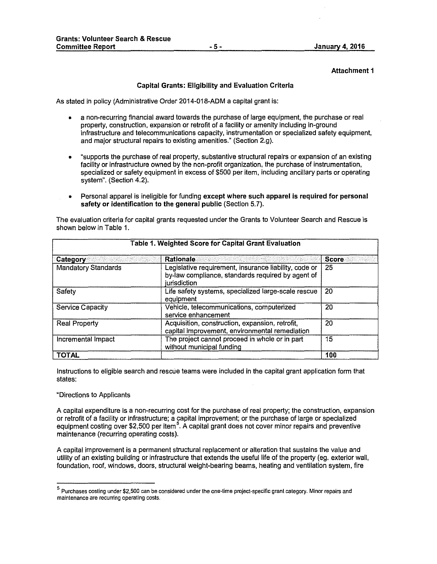#### **Attachment 1**

## **Capital Grants: Eligibility and Evaluation Criteria**

As stated in policy {Administrative Order 2014-018-ADM a capital grant is:

- a non-recurring financial award towards the purchase of large equipment, the purchase or real property, construction, expansion or retrofit of a facility or amenity including in-ground infrastructure and telecommunications capacity, instrumentation or specialized safety equipment, and major structural repairs to existing amenities." (Section 2.g).
- "supports the purchase of real property, substantive structural repairs or expansion of an existing facility or infrastructure owned by the non-profit organization, the purchase of instrumentation, specialized or safety equipment in excess of \$500 per item, including ancillary parts or operating system". (Section 4.2).
- Personal apparel is ineligible for funding **except where such apparel Is required for personal safety or identification to the general public** (Section 5.7).

| Table 1. Weighted Score for Capital Grant Evaluation |                                                                                                                            |       |  |  |
|------------------------------------------------------|----------------------------------------------------------------------------------------------------------------------------|-------|--|--|
| Category                                             | <b>Rationale</b>                                                                                                           | Score |  |  |
| <b>Mandatory Standards</b>                           | Legislative requirement, insurance liability, code or<br>by-law compliance, standards required by agent of<br>jurisdiction | 25    |  |  |
| Safety                                               | Life safety systems, specialized large-scale rescue<br>equipment                                                           | 20    |  |  |
| <b>Service Capacity</b>                              | Vehicle, telecommunications, computerized<br>service enhancement                                                           | 20    |  |  |
| <b>Real Property</b>                                 | Acquisition, construction, expansion, retrofit,<br>capital improvement, environmental remediation                          | 20    |  |  |
| Incremental Impact                                   | The project cannot proceed in whole or in part<br>without municipal funding                                                | 15    |  |  |
| <b>TOTAL</b>                                         |                                                                                                                            | 100   |  |  |

The evaluation criteria for capital grants requested under the Grants to Volunteer Search and Rescue is shown below in Table 1.

Instructions to eligible search and rescue teams were included in the capital grant application form that states:

#### "Directions to Applicants

A capital expenditure is a non-recurring cost for the purchase of real property; the construction, expansion or retrofit of a facility or infrastructure; a capital improvement; or the purchase of large or specialized equipment costing over \$2,500 per item<sup>5</sup>. A capital grant does not cover minor repairs and preventive maintenance (recurring operating costs).

A capital improvement is a permanent structural replacement or alteration that sustains the value and utility of an existing building or infrastructure that extends the useful life of the property ( eg. exterior wall, foundation, roof, windows, doors, structural weight-bearing beams, heating and ventilation system, fire

<sup>5</sup>**Purchases costing under \$2,500 can be considered under the** one~time project~specific **grant category. Minor repairs and maintenance are recurring operating costs.**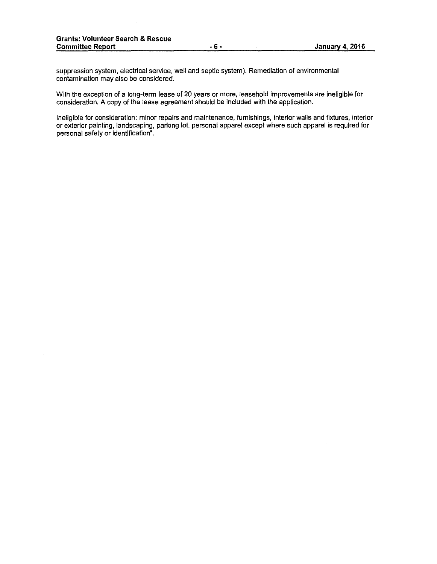suppression system, electrical service, well and septic system). Remediation of environmental contamination may also be considered.

With the exception of a long-term lease of 20 years or more, leasehold improvements are ineligible for consideration. A copy of the lease agreement should be included with the application.

Ineligible for consideration: minor repairs and maintenance, furnishings, interior walls and fixtures, Interior or exterior painting, landscaping, parking lot, personal apparel except where such apparel is required for personal safety or identification".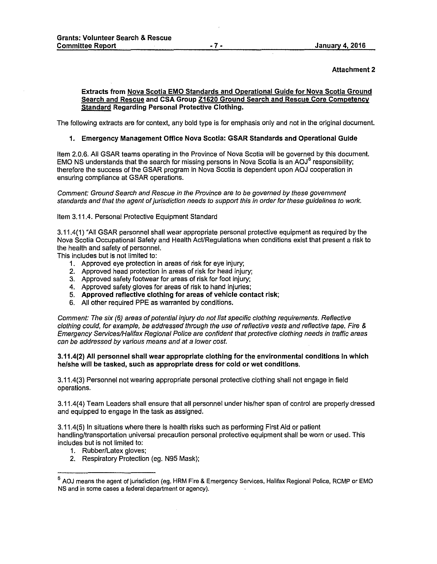#### Attachment 2

#### Extracts from Nova Scotia EMO Standards and Operational Gulde for Nova Scotia Ground Search and Rescue and CSA Group Z1620 Ground Search and Rescue Core Competency Standard Regarding Personal Protective Clothing.

The following extracts are for context, any bold type is for emphasis only and not in the original document.

### 1. Emergency Management Office Nova Scotia: GSAR Standards and Operational Guide

Item 2.0.6. All GSAR teams operating in the Province of Nova Scotia will be governed by this document. EMO NS understands that the search for missing persons in Nova Scotia is an AOJ<sup>6</sup> responsibility; therefore the success of the GSAR program in Nova Scotia is dependent upon AOJ cooperation in ensuring compliance at GSAR operations.

Comment: Ground Search and Rescue in the Province are to be governed by these government standards and that the agent of jurisdiction needs to support this in order for these guidelines to work.

#### Item 3.11.4. Personal Protective Equipment Standard

3.11.4(1) "All GSAR personnel shall wear appropriate personal protective equipment as required by the Nova Scotia Occupational Safety and Health Act/Regulations when conditions exist that present a risk to the health and safety of personnel.

This includes but is not limited to:

- 1. Approved eye protection in areas of risk for eye injury;
- 2. Approved head protection in areas of risk for head injury;
- 3. Approved safety footwear for areas of risk for foot injury;
- 4. Approved safety gloves for areas of risk to hand injuries;
- 5. Approved reflective clothing for areas of vehicle contact risk;
- 6. All other required PPE as warranted by conditions.

Comment: The six (6) areas of potential injury do not list specific clothing requirements. Reflective clothing could, for example, be addressed through the use of reflective vests and reflective tape. Fire & Emergency Services/Halifax Regional Police are confident that protective clothing needs in traffic areas can be addressed by various means and at a lower cost.

### 3.11.4(2) All personnel shall wear appropriate clothing for the environmental conditions in which he/she will be tasked, such as appropriate dress for cold or wet conditions.

3.11.4(3) Personnel not wearing appropriate personal protective clothing shall not engage in field operations.

3.11.4(4) Team Leaders shall ensure that all personnel under his/her span of control are properly dressed and equipped to engage in the task as assigned.

3.11.4(5) In situations where there is health risks such as performing First Aid or patient handling/transportation universal precaution personal protective equipment shall be worn or used. This includes but is not limited to:

- 1. Rubber/Latex gloves;
- 2. Respiratory Protection (eg. N95 Mask);

<sup>&</sup>lt;sup>6</sup> AOJ means the agent of jurisdiction (eg. HRM Fire & Emergency Services, Halifax Regional Police, RCMP or EMO NS and in some cases a federal department or agency).